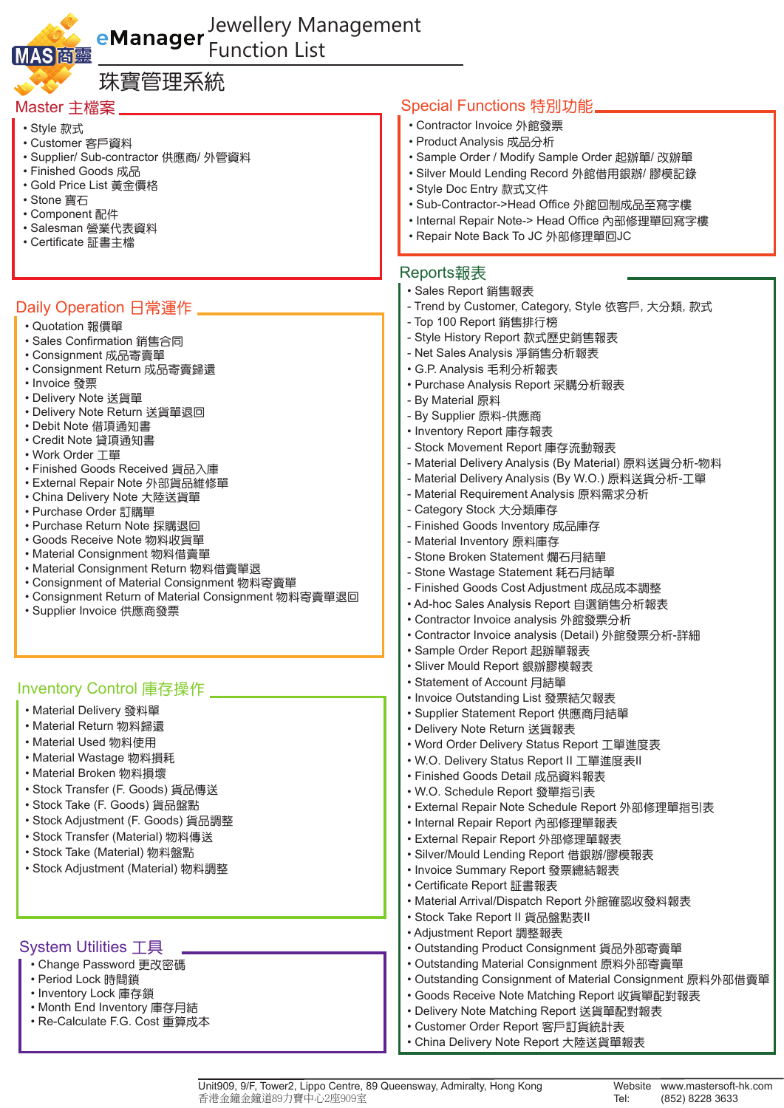

## Jewellery Management Function List

| 珠寶管理系統                                                                           |                                                                            |
|----------------------------------------------------------------------------------|----------------------------------------------------------------------------|
| Master 主檔案 ______                                                                | Special Functions 特別功能.                                                    |
| • Style 款式                                                                       | • Contractor Invoice 外館發票                                                  |
| • Customer 客戶資料                                                                  | • Product Analysis 成品分析                                                    |
| • Supplier/ Sub-contractor 供應商/ 外管資料                                             | • Sample Order / Modify Sample Order 起辦單/ 改辦單                              |
| • Finished Goods 成品                                                              | • Silver Mould Lending Record 外館借用銀辦/ 膠模記錄                                 |
| • Gold Price List 黃金價格<br>• Stone 寶石                                             | • Style Doc Entry 款式文件                                                     |
| • Component 配件                                                                   | • Sub-Contractor->Head Office 外館回制成品至寫字樓                                   |
| · Salesman 營業代表資料                                                                | • Internal Repair Note-> Head Office 內部修理單回寫字樓                             |
| • Certificate 証書主檔                                                               | • Repair Note Back To JC 外部修理單回JC                                          |
|                                                                                  | Reports報表                                                                  |
|                                                                                  | • Sales Report 銷售報表                                                        |
| Daily Operation 日常運作 _                                                           | - Trend by Customer, Category, Style 依客戶, 大分類, 款式                          |
| • Quotation 報價單                                                                  | - Top 100 Report 銷售排行榜                                                     |
| • Sales Confirmation 銷售合同                                                        | - Style History Report 款式歷史銷售報表                                            |
| • Consignment 成品寄賣單                                                              | - Net Sales Analysis 凈銷售分析報表                                               |
| • Consignment Return 成品寄賣歸還                                                      | • G.P. Analysis 毛利分析報表                                                     |
| • Invoice 發票                                                                     | • Purchase Analysis Report 采購分析報表                                          |
| • Delivery Note 送貨單                                                              | - By Material 原料                                                           |
| • Delivery Note Return 送貨單退回<br>• Debit Note 借項通知書                               | - By Supplier 原料-供應商                                                       |
| • Credit Note 貸項通知書                                                              | • Inventory Report 庫存報表                                                    |
| • Work Order 工單                                                                  | - Stock Movement Report 庫存流動報表                                             |
| • Finished Goods Received 貨品入庫                                                   | - Material Delivery Analysis (By Material) 原料送貨分析-物料                       |
| • External Repair Note 外部貨品維修單                                                   | - Material Delivery Analysis (By W.O.) 原料送貨分析-工單                           |
| • China Delivery Note 大陸送貨單                                                      | - Material Requirement Analysis 原料需求分析<br>- Category Stock 大分類庫存           |
| • Purchase Order 訂購單<br>• Purchase Return Note 採購退回                              | - Finished Goods Inventory 成品庫存                                            |
| • Goods Receive Note 物料收貨單                                                       | - Material Inventory 原料庫存                                                  |
| • Material Consignment 物料借賣單                                                     | - Stone Broken Statement 爛石月結單                                             |
| • Material Consignment Return 物料借賣單退                                             | - Stone Wastage Statement 耗石月結單                                            |
| • Consignment of Material Consignment 物料寄賣單                                      | - Finished Goods Cost Adjustment 成品成本調整                                    |
| • Consignment Return of Material Consignment 物料寄賣單退回<br>• Supplier Invoice 供應商發票 | • Ad-hoc Sales Analysis Report 自選銷售分析報表                                    |
|                                                                                  | • Contractor Invoice analysis 外館發票分析                                       |
|                                                                                  | • Contractor Invoice analysis (Detail) 外館發票分析-詳細                           |
|                                                                                  | • Sample Order Report 起辦單報表                                                |
|                                                                                  | • Sliver Mould Report 銀辦膠模報表                                               |
| Inventory Control 庫存操作                                                           | • Statement of Account 月結單                                                 |
| • Material Delivery 發料單                                                          | • Invoice Outstanding List 發票結欠報表                                          |
| • Material Return 物料歸還                                                           | • Supplier Statement Report 供應商月結單                                         |
| • Material Used 物料使用                                                             | • Delivery Note Return 送貨報表<br>• Word Order Delivery Status Report 工單進度表   |
| • Material Wastage 物料損耗                                                          | • W.O. Delivery Status Report II 工單進度表II                                   |
| • Material Broken 物料損壞                                                           | • Finished Goods Detail 成品資料報表                                             |
| • Stock Transfer (F. Goods) 貨品傳送                                                 | • W.O. Schedule Report 發單指引表                                               |
| • Stock Take (F. Goods) 貨品盤點                                                     | • External Repair Note Schedule Report 外部修理單指引表                            |
| • Stock Adjustment (F. Goods) 貨品調整                                               | • Internal Repair Report 內部修理單報表                                           |
| • Stock Transfer (Material) 物料傳送                                                 | • External Repair Report 外部修理單報表                                           |
| • Stock Take (Material) 物料盤點                                                     | • Silver/Mould Lending Report 借銀辦/膠模報表                                     |
| • Stock Adjustment (Material) 物料調整                                               | • Invoice Summary Report 發票總結報表                                            |
|                                                                                  | • Certificate Report 証書報表                                                  |
|                                                                                  | • Material Arrival/Dispatch Report 外館確認收發料報表                               |
|                                                                                  | • Stock Take Report II 貨品盤點表II                                             |
|                                                                                  | • Adjustment Report 調整報表                                                   |
| <b>System Utilities 工具</b>                                                       | • Outstanding Product Consignment 貨品外部寄賣單                                  |
| • Change Password 更改密碼                                                           | • Outstanding Material Consignment 原料外部寄賣單                                 |
| • Period Lock 時間鎖<br>• Inventory Lock 庫存鎖                                        | • Outstanding Consignment of Material Consignment 原料外部借賣單                  |
| • Month End Inventory 庫存月結                                                       | • Goods Receive Note Matching Report 收貨單配對報表                               |
| • Re-Calculate F.G. Cost 重算成本                                                    | • Delivery Note Matching Report 送貨單配對報表<br>• Customer Order Report 客戶訂貨統計表 |
|                                                                                  | • China Delivery Note Report 大陸送貨單報表                                       |
|                                                                                  |                                                                            |